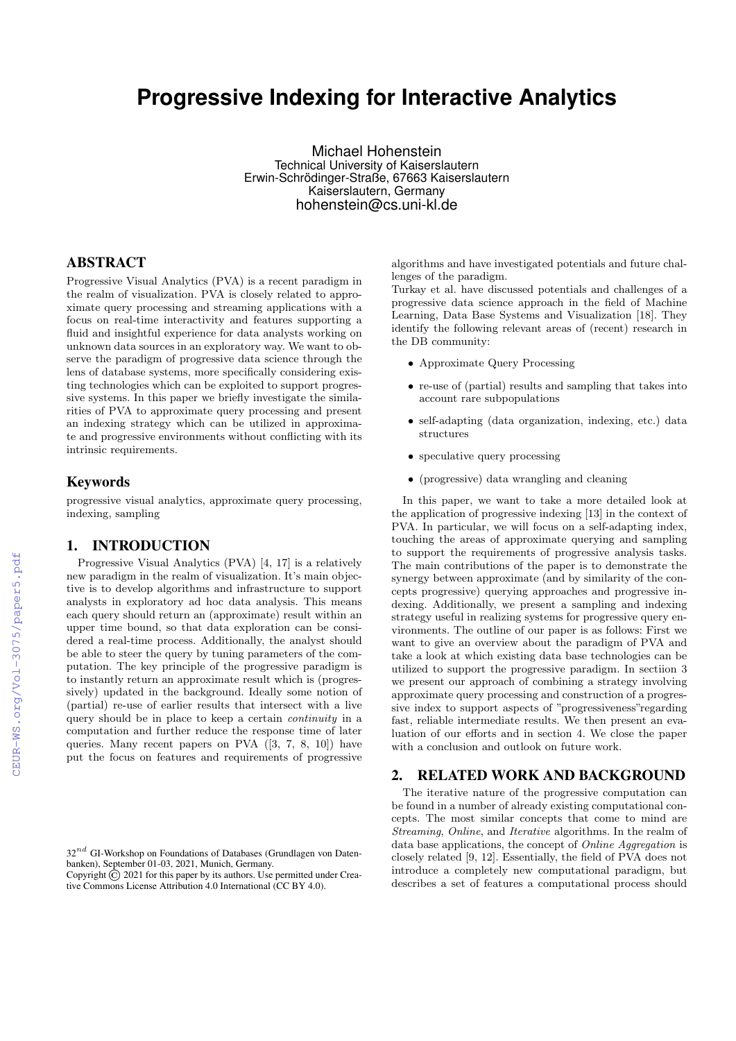# **Progressive Indexing for Interactive Analytics**

Michael Hohenstein Technical University of Kaiserslautern Erwin-Schrödinger-Straße, 67663 Kaiserslautern Kaiserslautern, Germany hohenstein@cs.uni-kl.de

# ABSTRACT

Progressive Visual Analytics (PVA) is a recent paradigm in the realm of visualization. PVA is closely related to approximate query processing and streaming applications with a focus on real-time interactivity and features supporting a fluid and insightful experience for data analysts working on unknown data sources in an exploratory way. We want to observe the paradigm of progressive data science through the lens of database systems, more specifically considering existing technologies which can be exploited to support progressive systems. In this paper we briefly investigate the similarities of PVA to approximate query processing and present an indexing strategy which can be utilized in approximate and progressive environments without conflicting with its intrinsic requirements.

#### Keywords

progressive visual analytics, approximate query processing, indexing, sampling

#### 1. INTRODUCTION

Progressive Visual Analytics (PVA) [4, 17] is a relatively new paradigm in the realm of visualization. It's main objective is to develop algorithms and infrastructure to support analysts in exploratory ad hoc data analysis. This means each query should return an (approximate) result within an upper time bound, so that data exploration can be considered a real-time process. Additionally, the analyst should be able to steer the query by tuning parameters of the computation. The key principle of the progressive paradigm is to instantly return an approximate result which is (progressively) updated in the background. Ideally some notion of (partial) re-use of earlier results that intersect with a live query should be in place to keep a certain continuity in a computation and further reduce the response time of later queries. Many recent papers on PVA ([3, 7, 8, 10]) have put the focus on features and requirements of progressive

algorithms and have investigated potentials and future challenges of the paradigm.

Turkay et al. have discussed potentials and challenges of a progressive data science approach in the field of Machine Learning, Data Base Systems and Visualization [18]. They identify the following relevant areas of (recent) research in the DB community:

- Approximate Query Processing
- re-use of (partial) results and sampling that takes into account rare subpopulations
- self-adapting (data organization, indexing, etc.) data structures
- speculative query processing
- (progressive) data wrangling and cleaning

In this paper, we want to take a more detailed look at the application of progressive indexing [13] in the context of PVA. In particular, we will focus on a self-adapting index, touching the areas of approximate querying and sampling to support the requirements of progressive analysis tasks. The main contributions of the paper is to demonstrate the synergy between approximate (and by similarity of the concepts progressive) querying approaches and progressive indexing. Additionally, we present a sampling and indexing strategy useful in realizing systems for progressive query environments. The outline of our paper is as follows: First we want to give an overview about the paradigm of PVA and take a look at which existing data base technologies can be utilized to support the progressive paradigm. In sectiion 3 we present our approach of combining a strategy involving approximate query processing and construction of a progressive index to support aspects of "progressiveness"regarding fast, reliable intermediate results. We then present an evaluation of our efforts and in section 4. We close the paper with a conclusion and outlook on future work.

### 2. RELATED WORK AND BACKGROUND

The iterative nature of the progressive computation can be found in a number of already existing computational concepts. The most similar concepts that come to mind are Streaming, Online, and Iterative algorithms. In the realm of data base applications, the concept of Online Aggregation is closely related [9, 12]. Essentially, the field of PVA does not introduce a completely new computational paradigm, but describes a set of features a computational process should

 $32^{nd}$  GI-Workshop on Foundations of Databases (Grundlagen von Datenbanken), September 01-03, 2021, Munich, Germany.

Copyright  $\overline{C}$  2021 for this paper by its authors. Use permitted under Creative Commons License Attribution 4.0 International (CC BY 4.0).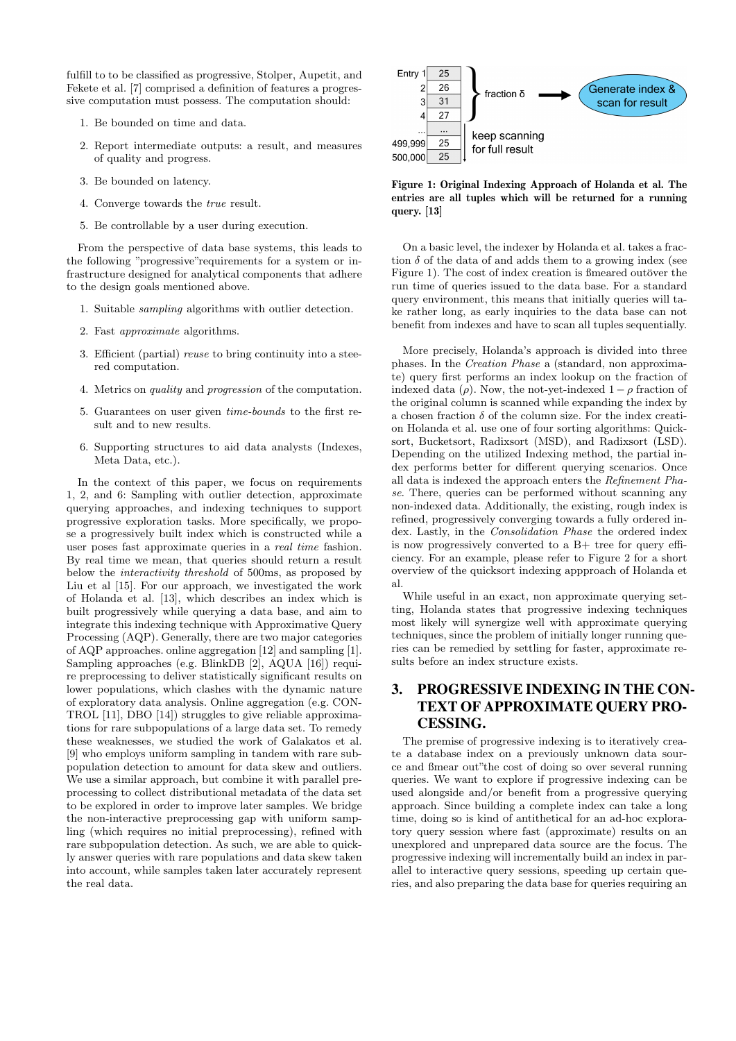fulfill to to be classified as progressive, Stolper, Aupetit, and Fekete et al. [7] comprised a definition of features a progressive computation must possess. The computation should:

- 1. Be bounded on time and data.
- 2. Report intermediate outputs: a result, and measures of quality and progress.
- 3. Be bounded on latency.
- 4. Converge towards the true result.
- 5. Be controllable by a user during execution.

From the perspective of data base systems, this leads to the following "progressive"requirements for a system or infrastructure designed for analytical components that adhere to the design goals mentioned above.

- 1. Suitable sampling algorithms with outlier detection.
- 2. Fast approximate algorithms.
- 3. Efficient (partial) reuse to bring continuity into a steered computation.
- 4. Metrics on quality and progression of the computation.
- 5. Guarantees on user given time-bounds to the first result and to new results.
- 6. Supporting structures to aid data analysts (Indexes, Meta Data, etc.).

In the context of this paper, we focus on requirements 1, 2, and 6: Sampling with outlier detection, approximate querying approaches, and indexing techniques to support progressive exploration tasks. More specifically, we propose a progressively built index which is constructed while a user poses fast approximate queries in a real time fashion. By real time we mean, that queries should return a result below the interactivity threshold of 500ms, as proposed by Liu et al [15]. For our approach, we investigated the work of Holanda et al. [13], which describes an index which is built progressively while querying a data base, and aim to integrate this indexing technique with Approximative Query Processing (AQP). Generally, there are two major categories of AQP approaches. online aggregation [12] and sampling [1]. Sampling approaches (e.g. BlinkDB [2], AQUA [16]) require preprocessing to deliver statistically significant results on lower populations, which clashes with the dynamic nature of exploratory data analysis. Online aggregation (e.g. CON-TROL [11], DBO [14]) struggles to give reliable approximations for rare subpopulations of a large data set. To remedy these weaknesses, we studied the work of Galakatos et al. [9] who employs uniform sampling in tandem with rare subpopulation detection to amount for data skew and outliers. We use a similar approach, but combine it with parallel preprocessing to collect distributional metadata of the data set to be explored in order to improve later samples. We bridge the non-interactive preprocessing gap with uniform sampling (which requires no initial preprocessing), refined with rare subpopulation detection. As such, we are able to quickly answer queries with rare populations and data skew taken into account, while samples taken later accurately represent the real data.



Figure 1: Original Indexing Approach of Holanda et al. The entries are all tuples which will be returned for a running query. [13]

On a basic level, the indexer by Holanda et al. takes a fraction  $\delta$  of the data of and adds them to a growing index (see Figure 1). The cost of index creation is fineared outöver the run time of queries issued to the data base. For a standard query environment, this means that initially queries will take rather long, as early inquiries to the data base can not benefit from indexes and have to scan all tuples sequentially.

More precisely, Holanda's approach is divided into three phases. In the Creation Phase a (standard, non approximate) query first performs an index lookup on the fraction of indexed data ( $\rho$ ). Now, the not-yet-indexed  $1 - \rho$  fraction of the original column is scanned while expanding the index by a chosen fraction  $\delta$  of the column size. For the index creation Holanda et al. use one of four sorting algorithms: Quicksort, Bucketsort, Radixsort (MSD), and Radixsort (LSD). Depending on the utilized Indexing method, the partial index performs better for different querying scenarios. Once all data is indexed the approach enters the Refinement Phase. There, queries can be performed without scanning any non-indexed data. Additionally, the existing, rough index is refined, progressively converging towards a fully ordered index. Lastly, in the Consolidation Phase the ordered index is now progressively converted to a B+ tree for query efficiency. For an example, please refer to Figure 2 for a short overview of the quicksort indexing appproach of Holanda et al.

While useful in an exact, non approximate querying setting, Holanda states that progressive indexing techniques most likely will synergize well with approximate querying techniques, since the problem of initially longer running queries can be remedied by settling for faster, approximate results before an index structure exists.

# 3. PROGRESSIVE INDEXING IN THE CON-TEXT OF APPROXIMATE QUERY PRO-CESSING.

The premise of progressive indexing is to iteratively create a database index on a previously unknown data source and ßmear out"the cost of doing so over several running queries. We want to explore if progressive indexing can be used alongside and/or benefit from a progressive querying approach. Since building a complete index can take a long time, doing so is kind of antithetical for an ad-hoc exploratory query session where fast (approximate) results on an unexplored and unprepared data source are the focus. The progressive indexing will incrementally build an index in parallel to interactive query sessions, speeding up certain queries, and also preparing the data base for queries requiring an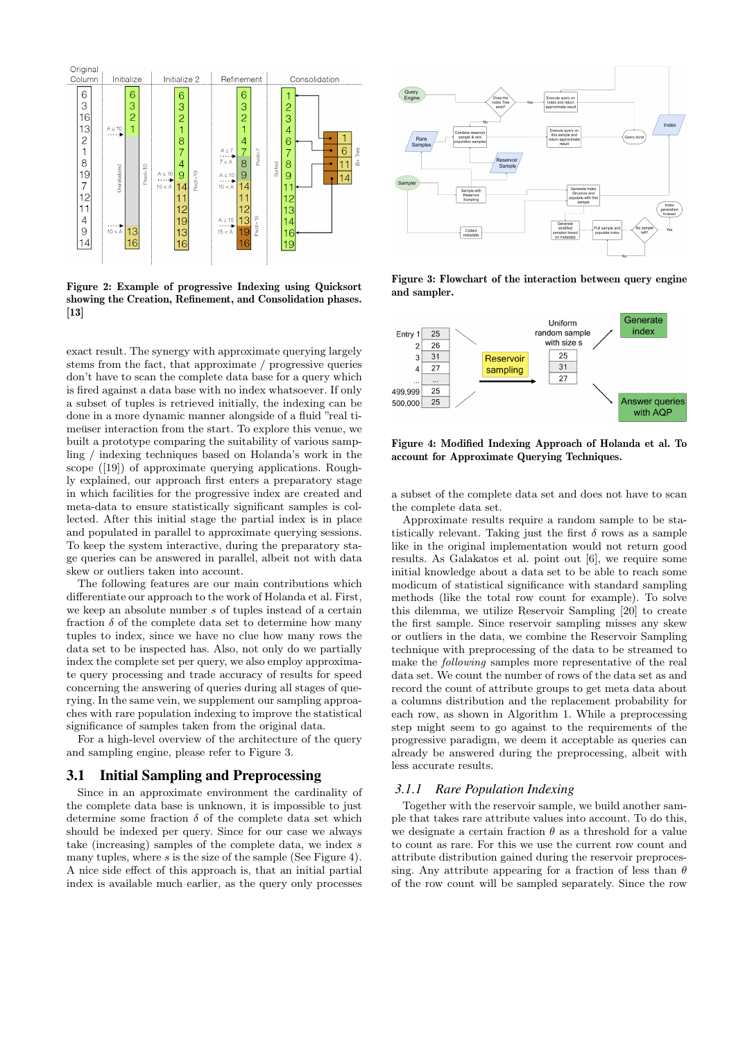

Figure 2: Example of progressive Indexing using Quicksort showing the Creation, Refinement, and Consolidation phases. [13]

exact result. The synergy with approximate querying largely stems from the fact, that approximate / progressive queries don't have to scan the complete data base for a query which is fired against a data base with no index whatsoever. If only a subset of tuples is retrieved initially, the indexing can be done in a more dynamic manner alongside of a fluid "real timeuser interaction from the start. To explore this venue, we built a prototype comparing the suitability of various sampling / indexing techniques based on Holanda's work in the scope ([19]) of approximate querying applications. Roughly explained, our approach first enters a preparatory stage in which facilities for the progressive index are created and meta-data to ensure statistically significant samples is collected. After this initial stage the partial index is in place and populated in parallel to approximate querying sessions. To keep the system interactive, during the preparatory stage queries can be answered in parallel, albeit not with data skew or outliers taken into account.

The following features are our main contributions which differentiate our approach to the work of Holanda et al. First, we keep an absolute number s of tuples instead of a certain fraction  $\delta$  of the complete data set to determine how many tuples to index, since we have no clue how many rows the data set to be inspected has. Also, not only do we partially index the complete set per query, we also employ approximate query processing and trade accuracy of results for speed concerning the answering of queries during all stages of querying. In the same vein, we supplement our sampling approaches with rare population indexing to improve the statistical significance of samples taken from the original data.

For a high-level overview of the architecture of the query and sampling engine, please refer to Figure 3.

#### 3.1 Initial Sampling and Preprocessing

Since in an approximate environment the cardinality of the complete data base is unknown, it is impossible to just determine some fraction  $\delta$  of the complete data set which should be indexed per query. Since for our case we always take (increasing) samples of the complete data, we index  $s$ many tuples, where  $s$  is the size of the sample (See Figure 4). A nice side effect of this approach is, that an initial partial index is available much earlier, as the query only processes



Figure 3: Flowchart of the interaction between query engine and sampler.



Figure 4: Modified Indexing Approach of Holanda et al. To account for Approximate Querying Techniques.

a subset of the complete data set and does not have to scan the complete data set.

Approximate results require a random sample to be statistically relevant. Taking just the first  $\delta$  rows as a sample like in the original implementation would not return good results. As Galakatos et al. point out [6], we require some initial knowledge about a data set to be able to reach some modicum of statistical significance with standard sampling methods (like the total row count for example). To solve this dilemma, we utilize Reservoir Sampling [20] to create the first sample. Since reservoir sampling misses any skew or outliers in the data, we combine the Reservoir Sampling technique with preprocessing of the data to be streamed to make the following samples more representative of the real data set. We count the number of rows of the data set as and record the count of attribute groups to get meta data about a columns distribution and the replacement probability for each row, as shown in Algorithm 1. While a preprocessing step might seem to go against to the requirements of the progressive paradigm, we deem it acceptable as queries can already be answered during the preprocessing, albeit with less accurate results.

#### *3.1.1 Rare Population Indexing*

Together with the reservoir sample, we build another sample that takes rare attribute values into account. To do this, we designate a certain fraction  $\theta$  as a threshold for a value to count as rare. For this we use the current row count and attribute distribution gained during the reservoir preprocessing. Any attribute appearing for a fraction of less than  $\theta$ of the row count will be sampled separately. Since the row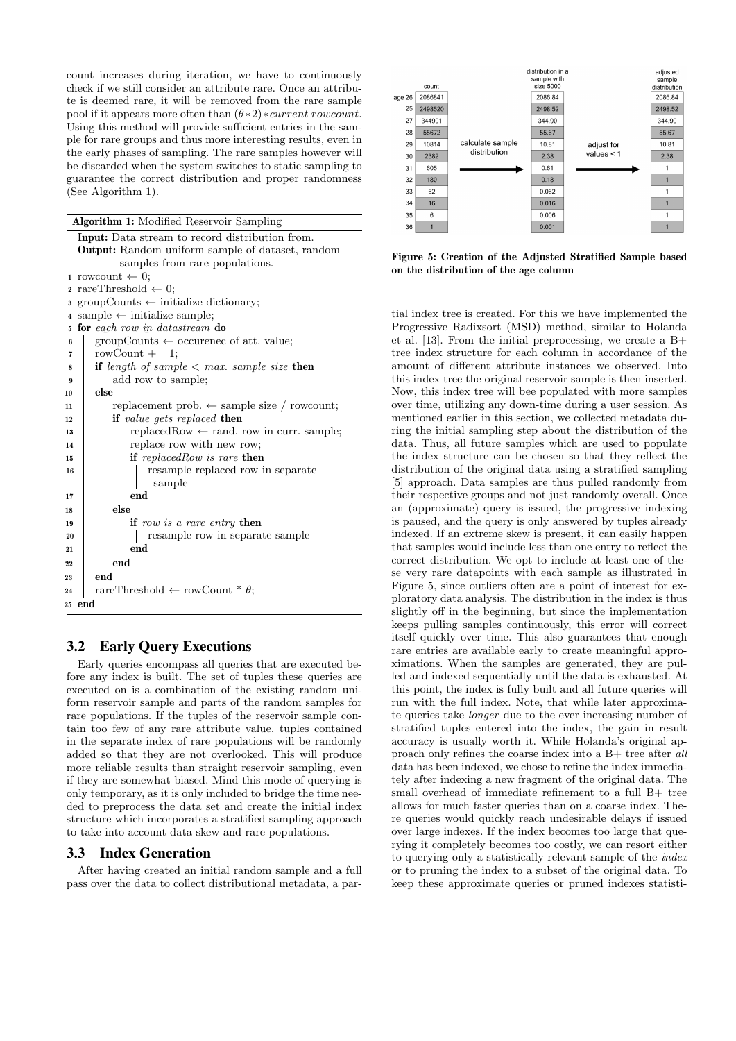count increases during iteration, we have to continuously check if we still consider an attribute rare. Once an attribute is deemed rare, it will be removed from the rare sample pool if it appears more often than  $(\theta * 2) * current row count$ . Using this method will provide sufficient entries in the sample for rare groups and thus more interesting results, even in the early phases of sampling. The rare samples however will be discarded when the system switches to static sampling to guarantee the correct distribution and proper randomness (See Algorithm 1).

Algorithm 1: Modified Reservoir Sampling

```
Input: Data stream to record distribution from.
  Output: Random uniform sample of dataset, random
          samples from rare populations.
1 rowcount \leftarrow 0;
2 rareThreshold \leftarrow 0;
3 groupCounts ← initialize dictionary;
4 sample \leftarrow initialize sample;
5 for each row in datastream do
 \frac{1}{6} groupCounts \leftarrow occurence of att. value;
\tau | rowCount += 1;
\textbf{s} if length of sample \langle max. sample size then
9 add row to sample:
10 else
11 | replacement prob. \leftarrow sample size / rowcount;
12 if value gets replaced then
13 replacedRow \leftarrow rand. row in curr. sample:
14 | | replace row with new row;
15 if replacedRow is rare then
16 | | | resample replaced row in separate
                 sample
17 \parallel \parallel end
18 else
19 | if row is a rare entry then
20 | | | resample row in separate sample
21 end
_{22} end
23 end
24 rareThreshold \leftarrow rowCount * \theta;
25 end
```
# 3.2 Early Query Executions

Early queries encompass all queries that are executed before any index is built. The set of tuples these queries are executed on is a combination of the existing random uniform reservoir sample and parts of the random samples for rare populations. If the tuples of the reservoir sample contain too few of any rare attribute value, tuples contained in the separate index of rare populations will be randomly added so that they are not overlooked. This will produce more reliable results than straight reservoir sampling, even if they are somewhat biased. Mind this mode of querying is only temporary, as it is only included to bridge the time needed to preprocess the data set and create the initial index structure which incorporates a stratified sampling approach to take into account data skew and rare populations.

## 3.3 Index Generation

After having created an initial random sample and a full pass over the data to collect distributional metadata, a par-



Figure 5: Creation of the Adjusted Stratified Sample based on the distribution of the age column

tial index tree is created. For this we have implemented the Progressive Radixsort (MSD) method, similar to Holanda et al. [13]. From the initial preprocessing, we create a B+ tree index structure for each column in accordance of the amount of different attribute instances we observed. Into this index tree the original reservoir sample is then inserted. Now, this index tree will bee populated with more samples over time, utilizing any down-time during a user session. As mentioned earlier in this section, we collected metadata during the initial sampling step about the distribution of the data. Thus, all future samples which are used to populate the index structure can be chosen so that they reflect the distribution of the original data using a stratified sampling [5] approach. Data samples are thus pulled randomly from their respective groups and not just randomly overall. Once an (approximate) query is issued, the progressive indexing is paused, and the query is only answered by tuples already indexed. If an extreme skew is present, it can easily happen that samples would include less than one entry to reflect the correct distribution. We opt to include at least one of these very rare datapoints with each sample as illustrated in Figure 5, since outliers often are a point of interest for exploratory data analysis. The distribution in the index is thus slightly off in the beginning, but since the implementation keeps pulling samples continuously, this error will correct itself quickly over time. This also guarantees that enough rare entries are available early to create meaningful approximations. When the samples are generated, they are pulled and indexed sequentially until the data is exhausted. At this point, the index is fully built and all future queries will run with the full index. Note, that while later approximate queries take longer due to the ever increasing number of stratified tuples entered into the index, the gain in result accuracy is usually worth it. While Holanda's original approach only refines the coarse index into a B+ tree after all data has been indexed, we chose to refine the index immediately after indexing a new fragment of the original data. The small overhead of immediate refinement to a full B+ tree allows for much faster queries than on a coarse index. There queries would quickly reach undesirable delays if issued over large indexes. If the index becomes too large that querying it completely becomes too costly, we can resort either to querying only a statistically relevant sample of the index or to pruning the index to a subset of the original data. To keep these approximate queries or pruned indexes statisti-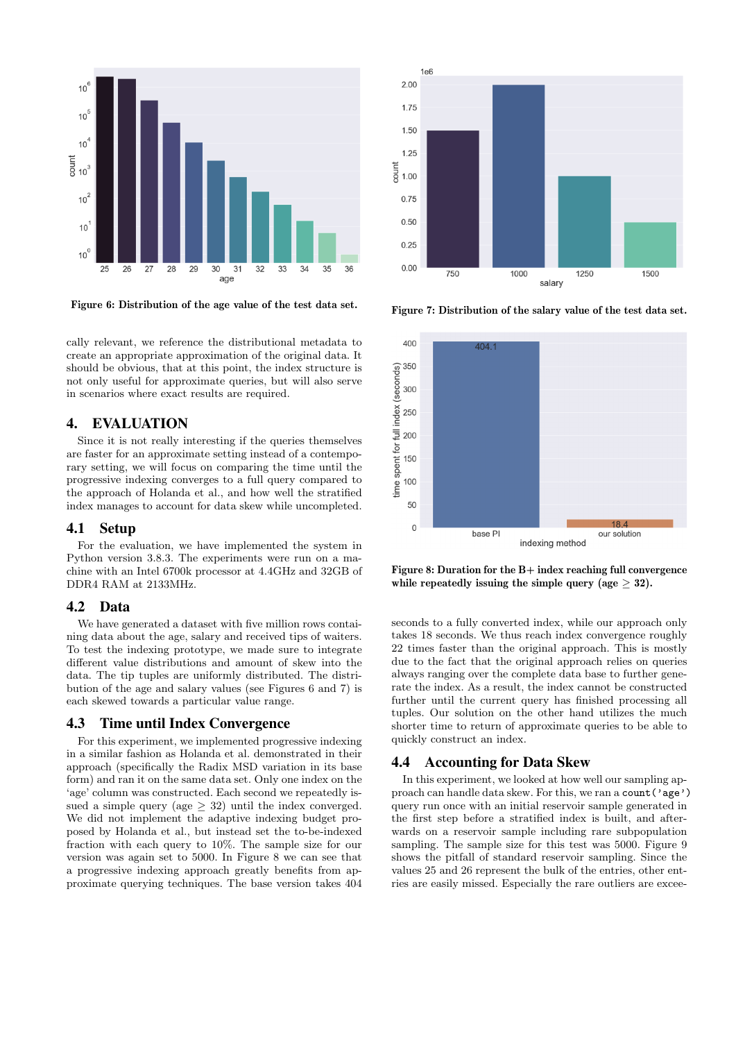

Figure 6: Distribution of the age value of the test data set.

cally relevant, we reference the distributional metadata to create an appropriate approximation of the original data. It should be obvious, that at this point, the index structure is not only useful for approximate queries, but will also serve in scenarios where exact results are required.

#### 4. EVALUATION

Since it is not really interesting if the queries themselves are faster for an approximate setting instead of a contemporary setting, we will focus on comparing the time until the progressive indexing converges to a full query compared to the approach of Holanda et al., and how well the stratified index manages to account for data skew while uncompleted.

#### 4.1 Setup

For the evaluation, we have implemented the system in Python version 3.8.3. The experiments were run on a machine with an Intel 6700k processor at 4.4GHz and 32GB of DDR4 RAM at 2133MHz.

#### 4.2 Data

We have generated a dataset with five million rows containing data about the age, salary and received tips of waiters. To test the indexing prototype, we made sure to integrate different value distributions and amount of skew into the data. The tip tuples are uniformly distributed. The distribution of the age and salary values (see Figures 6 and 7) is each skewed towards a particular value range.

#### 4.3 Time until Index Convergence

For this experiment, we implemented progressive indexing in a similar fashion as Holanda et al. demonstrated in their approach (specifically the Radix MSD variation in its base form) and ran it on the same data set. Only one index on the 'age' column was constructed. Each second we repeatedly issued a simple query (age  $\geq$  32) until the index converged. We did not implement the adaptive indexing budget proposed by Holanda et al., but instead set the to-be-indexed fraction with each query to 10%. The sample size for our version was again set to 5000. In Figure 8 we can see that a progressive indexing approach greatly benefits from approximate querying techniques. The base version takes 404



Figure 7: Distribution of the salary value of the test data set.



Figure 8: Duration for the B+ index reaching full convergence while repeatedly issuing the simple query (age  $\geq$  32).

seconds to a fully converted index, while our approach only takes 18 seconds. We thus reach index convergence roughly 22 times faster than the original approach. This is mostly due to the fact that the original approach relies on queries always ranging over the complete data base to further generate the index. As a result, the index cannot be constructed further until the current query has finished processing all tuples. Our solution on the other hand utilizes the much shorter time to return of approximate queries to be able to quickly construct an index.

#### 4.4 Accounting for Data Skew

In this experiment, we looked at how well our sampling approach can handle data skew. For this, we ran a count ('age') query run once with an initial reservoir sample generated in the first step before a stratified index is built, and afterwards on a reservoir sample including rare subpopulation sampling. The sample size for this test was 5000. Figure 9 shows the pitfall of standard reservoir sampling. Since the values 25 and 26 represent the bulk of the entries, other entries are easily missed. Especially the rare outliers are excee-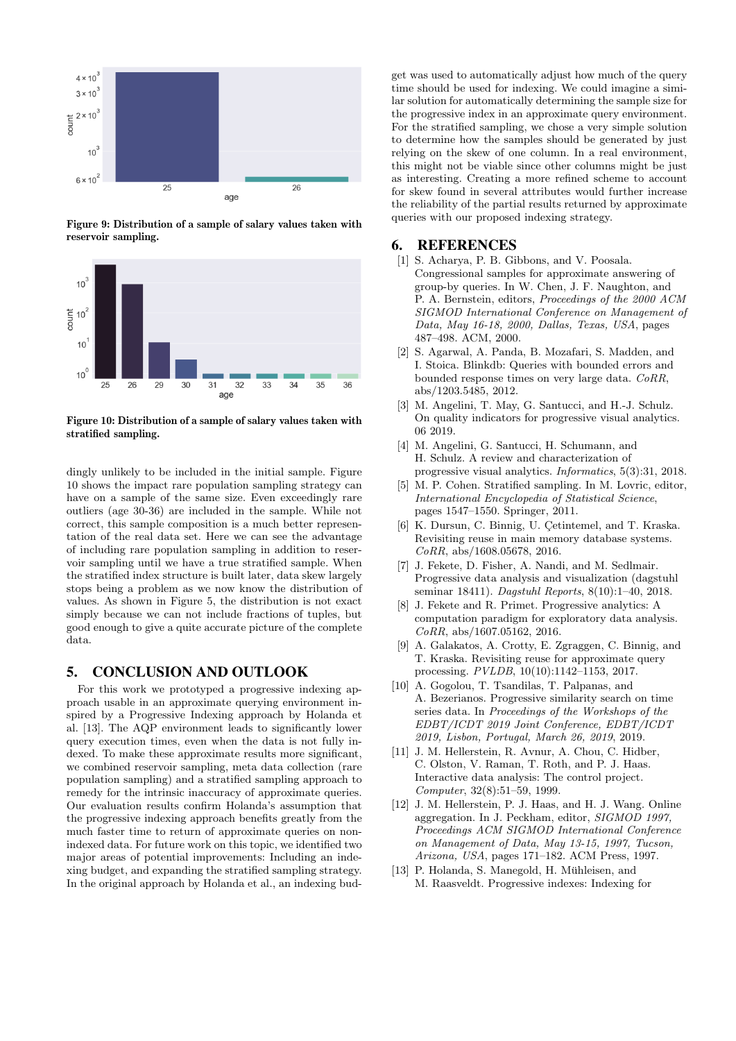

Figure 9: Distribution of a sample of salary values taken with reservoir sampling.



Figure 10: Distribution of a sample of salary values taken with stratified sampling.

dingly unlikely to be included in the initial sample. Figure 10 shows the impact rare population sampling strategy can have on a sample of the same size. Even exceedingly rare outliers (age 30-36) are included in the sample. While not correct, this sample composition is a much better representation of the real data set. Here we can see the advantage of including rare population sampling in addition to reservoir sampling until we have a true stratified sample. When the stratified index structure is built later, data skew largely stops being a problem as we now know the distribution of values. As shown in Figure 5, the distribution is not exact simply because we can not include fractions of tuples, but good enough to give a quite accurate picture of the complete data.

## 5. CONCLUSION AND OUTLOOK

For this work we prototyped a progressive indexing approach usable in an approximate querying environment inspired by a Progressive Indexing approach by Holanda et al. [13]. The AQP environment leads to significantly lower query execution times, even when the data is not fully indexed. To make these approximate results more significant. we combined reservoir sampling, meta data collection (rare population sampling) and a stratified sampling approach to remedy for the intrinsic inaccuracy of approximate queries. Our evaluation results confirm Holanda's assumption that the progressive indexing approach benefits greatly from the much faster time to return of approximate queries on nonindexed data. For future work on this topic, we identified two major areas of potential improvements: Including an indexing budget, and expanding the stratified sampling strategy. In the original approach by Holanda et al., an indexing bud-

get was used to automatically adjust how much of the query time should be used for indexing. We could imagine a similar solution for automatically determining the sample size for the progressive index in an approximate query environment. For the stratified sampling, we chose a very simple solution to determine how the samples should be generated by just relying on the skew of one column. In a real environment, this might not be viable since other columns might be just as interesting. Creating a more refined scheme to account for skew found in several attributes would further increase the reliability of the partial results returned by approximate queries with our proposed indexing strategy.

## 6. REFERENCES

- [1] S. Acharya, P. B. Gibbons, and V. Poosala. Congressional samples for approximate answering of group-by queries. In W. Chen, J. F. Naughton, and P. A. Bernstein, editors, Proceedings of the 2000 ACM SIGMOD International Conference on Management of Data, May 16-18, 2000, Dallas, Texas, USA, pages 487–498. ACM, 2000.
- [2] S. Agarwal, A. Panda, B. Mozafari, S. Madden, and I. Stoica. Blinkdb: Queries with bounded errors and bounded response times on very large data. CoRR, abs/1203.5485, 2012.
- [3] M. Angelini, T. May, G. Santucci, and H.-J. Schulz. On quality indicators for progressive visual analytics. 06 2019.
- [4] M. Angelini, G. Santucci, H. Schumann, and H. Schulz. A review and characterization of progressive visual analytics. Informatics, 5(3):31, 2018.
- [5] M. P. Cohen. Stratified sampling. In M. Lovric, editor, International Encyclopedia of Statistical Science, pages 1547–1550. Springer, 2011.
- [6] K. Dursun, C. Binnig, U. Çetintemel, and T. Kraska. Revisiting reuse in main memory database systems.  $CoRR$ , abs/1608.05678, 2016.
- [7] J. Fekete, D. Fisher, A. Nandi, and M. Sedlmair. Progressive data analysis and visualization (dagstuhl seminar 18411). Dagstuhl Reports, 8(10):1–40, 2018.
- [8] J. Fekete and R. Primet. Progressive analytics: A computation paradigm for exploratory data analysis. CoRR, abs/1607.05162, 2016.
- [9] A. Galakatos, A. Crotty, E. Zgraggen, C. Binnig, and T. Kraska. Revisiting reuse for approximate query processing. PVLDB, 10(10):1142–1153, 2017.
- [10] A. Gogolou, T. Tsandilas, T. Palpanas, and A. Bezerianos. Progressive similarity search on time series data. In Proceedings of the Workshops of the EDBT/ICDT 2019 Joint Conference, EDBT/ICDT 2019, Lisbon, Portugal, March 26, 2019, 2019.
- [11] J. M. Hellerstein, R. Avnur, A. Chou, C. Hidber, C. Olston, V. Raman, T. Roth, and P. J. Haas. Interactive data analysis: The control project. Computer, 32(8):51–59, 1999.
- [12] J. M. Hellerstein, P. J. Haas, and H. J. Wang. Online aggregation. In J. Peckham, editor, SIGMOD 1997, Proceedings ACM SIGMOD International Conference on Management of Data, May 13-15, 1997, Tucson, Arizona, USA, pages 171–182. ACM Press, 1997.
- [13] P. Holanda, S. Manegold, H. Mühleisen, and M. Raasveldt. Progressive indexes: Indexing for